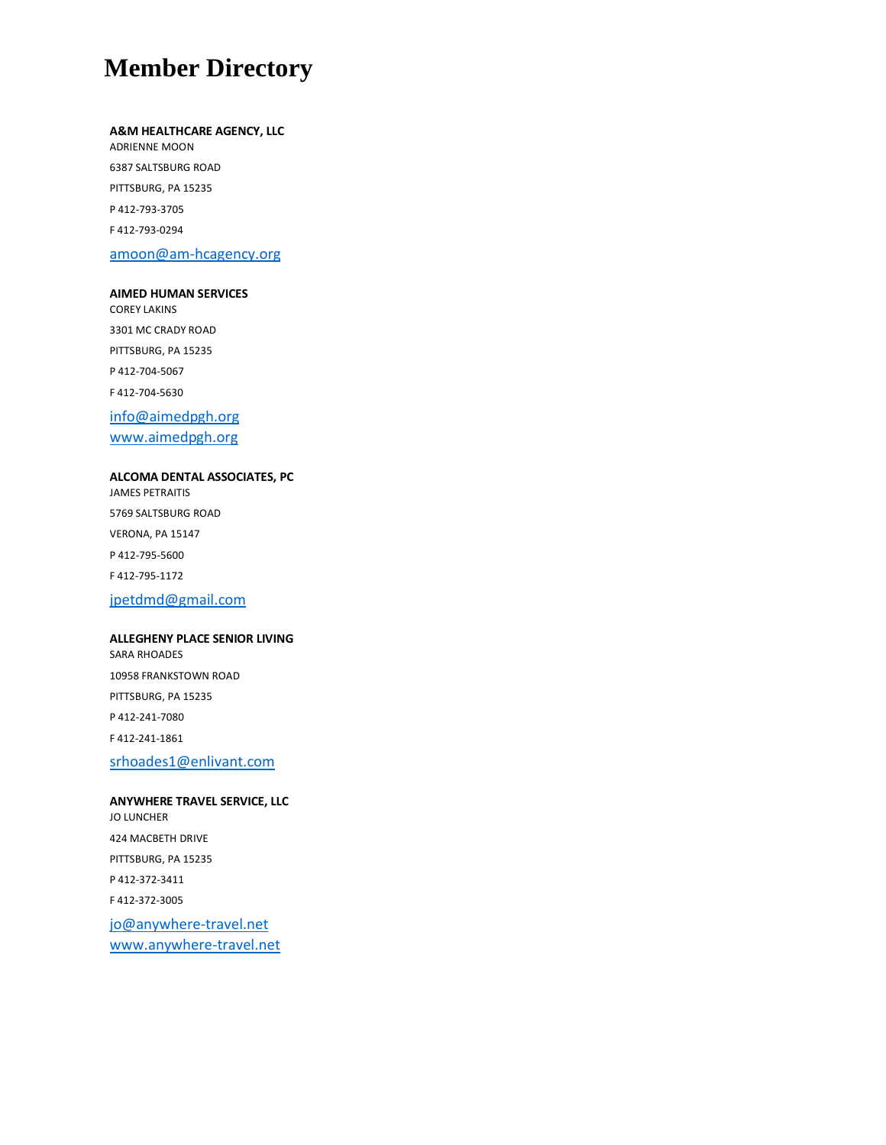# **Member Directory**

#### **A&M HEALTHCARE AGENCY, LLC**

ADRIENNE MOON 6387 SALTSBURG ROAD PITTSBURG, PA 15235 P 412-793-3705 F 412-793-0294 amoon@am-hcagency.org

#### **AIMED HUMAN SERVICES**

COREY LAKINS 3301 MC CRADY ROAD PITTSBURG, PA 15235 P 412-704-5067 F 412-704-5630 info@aimedpgh.org www.aimedpgh.org

## **ALCOMA DENTAL ASSOCIATES, PC**

JAMES PETRAITIS 5769 SALTSBURG ROAD VERONA, PA 15147 P 412-795-5600 F 412-795-1172 jpetdmd@gmail.com

#### **ALLEGHENY PLACE SENIOR LIVING**

SARA RHOADES 10958 FRANKSTOWN ROAD PITTSBURG, PA 15235 P 412-241-7080 F 412-241-1861

srhoades1@enlivant.com

**ANYWHERE TRAVEL SERVICE, LLC** JO LUNCHER 424 MACBETH DRIVE PITTSBURG, PA 15235 P 412-372-3411 F 412-372-3005 jo@anywhere-travel.net www.anywhere-travel.net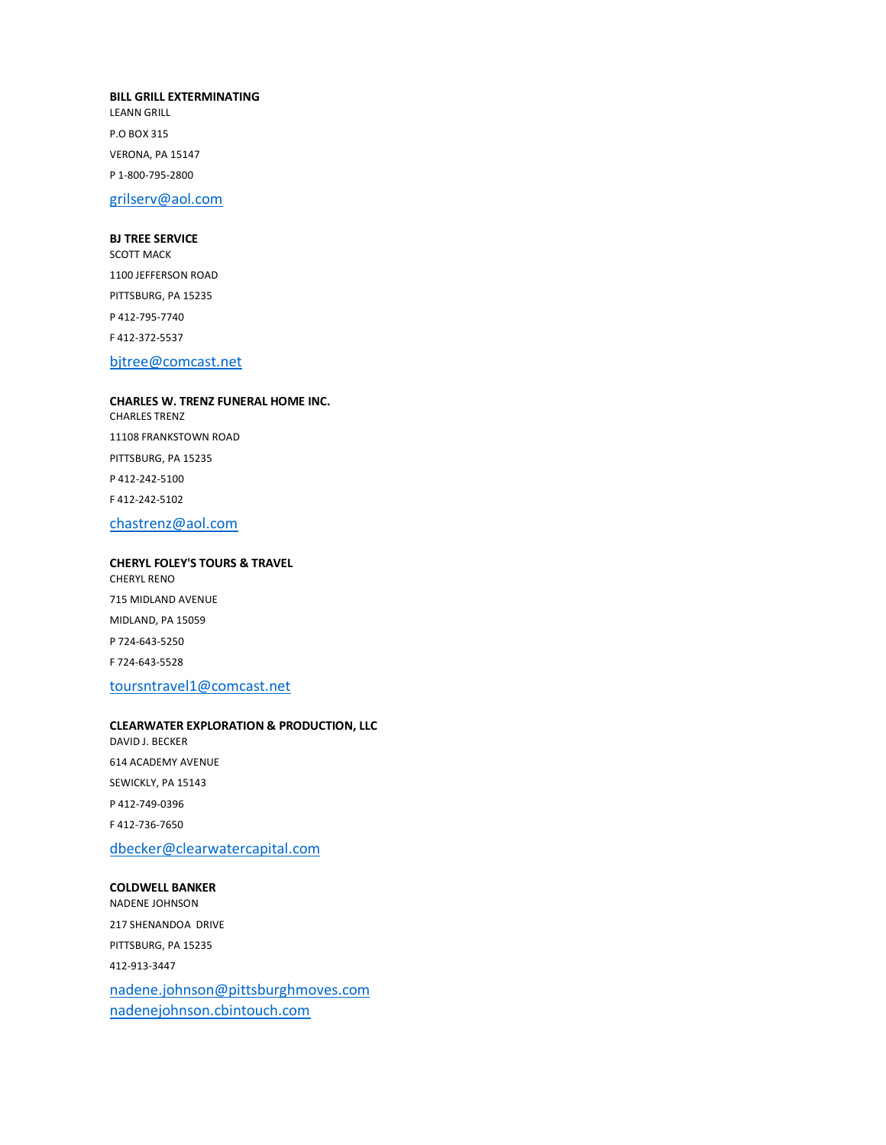#### **BILL GRILL EXTERMINATING**

LEANN GRILL P.O BOX 315 VERONA, PA 15147 P 1-800-795-2800

grilserv@aol.com

#### **BJ TREE SERVICE**

SCOTT MACK 1100 JEFFERSON ROAD PITTSBURG, PA 15235 P 412-795-7740 F 412-372-5537 bjtree@comcast.net

## **CHARLES W. TRENZ FUNERAL HOME INC.** CHARLES TRENZ 11108 FRANKSTOWN ROAD PITTSBURG, PA 15235 P 412-242-5100 F 412-242-5102

chastrenz@aol.com

## **CHERYL FOLEY'S TOURS & TRAVEL** CHERYL RENO

715 MIDLAND AVENUE MIDLAND, PA 15059 P 724-643-5250 F 724-643-5528

#### toursntravel1@comcast.net

#### **CLEARWATER EXPLORATION & PRODUCTION, LLC** DAVID J. BECKER

614 ACADEMY AVENUE SEWICKLY, PA 15143 P 412-749-0396 F 412-736-7650 dbecker@clearwatercapital.com

#### **COLDWELL BANKER**

NADENE JOHNSON 217 SHENANDOA DRIVE PITTSBURG, PA 15235 412-913-3447 nadene.johnson@pittsburghmoves.com nadenejohnson.cbintouch.com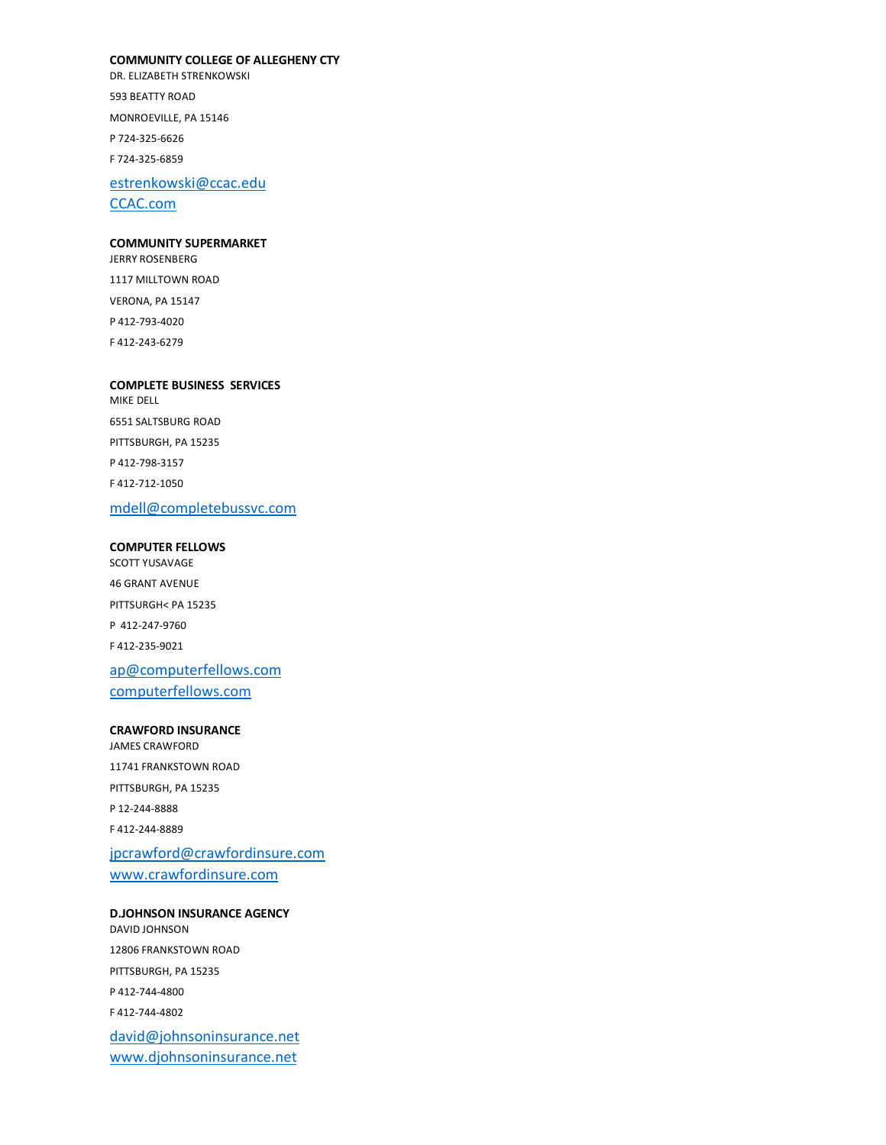#### **COMMUNITY COLLEGE OF ALLEGHENY CTY**

DR. ELIZABETH STRENKOWSKI 593 BEATTY ROAD MONROEVILLE, PA 15146 P 724-325-6626 F 724-325-6859

estrenkowski@ccac.edu CCAC.com

#### **COMMUNITY SUPERMARKET**

JERRY ROSENBERG 1117 MILLTOWN ROAD VERONA, PA 15147 P 412-793-4020 F 412-243-6279

#### **COMPLETE BUSINESS SERVICES**

MIKE DELL 6551 SALTSBURG ROAD PITTSBURGH, PA 15235 P 412-798-3157 F 412-712-1050 mdell@completebussvc.com

#### **COMPUTER FELLOWS**

SCOTT YUSAVAGE 46 GRANT AVENUE PITTSURGH< PA 15235 P 412-247-9760 F 412-235-9021 ap@computerfellows.com computerfellows.com

#### **CRAWFORD INSURANCE**

JAMES CRAWFORD 11741 FRANKSTOWN ROAD PITTSBURGH, PA 15235 P 12-244-8888 F 412-244-8889 jpcrawford@crawfordinsure.com

www.crawfordinsure.com

**D.JOHNSON INSURANCE AGENCY** DAVID JOHNSON 12806 FRANKSTOWN ROAD PITTSBURGH, PA 15235 P 412-744-4800 F 412-744-4802 david@johnsoninsurance.net www.djohnsoninsurance.net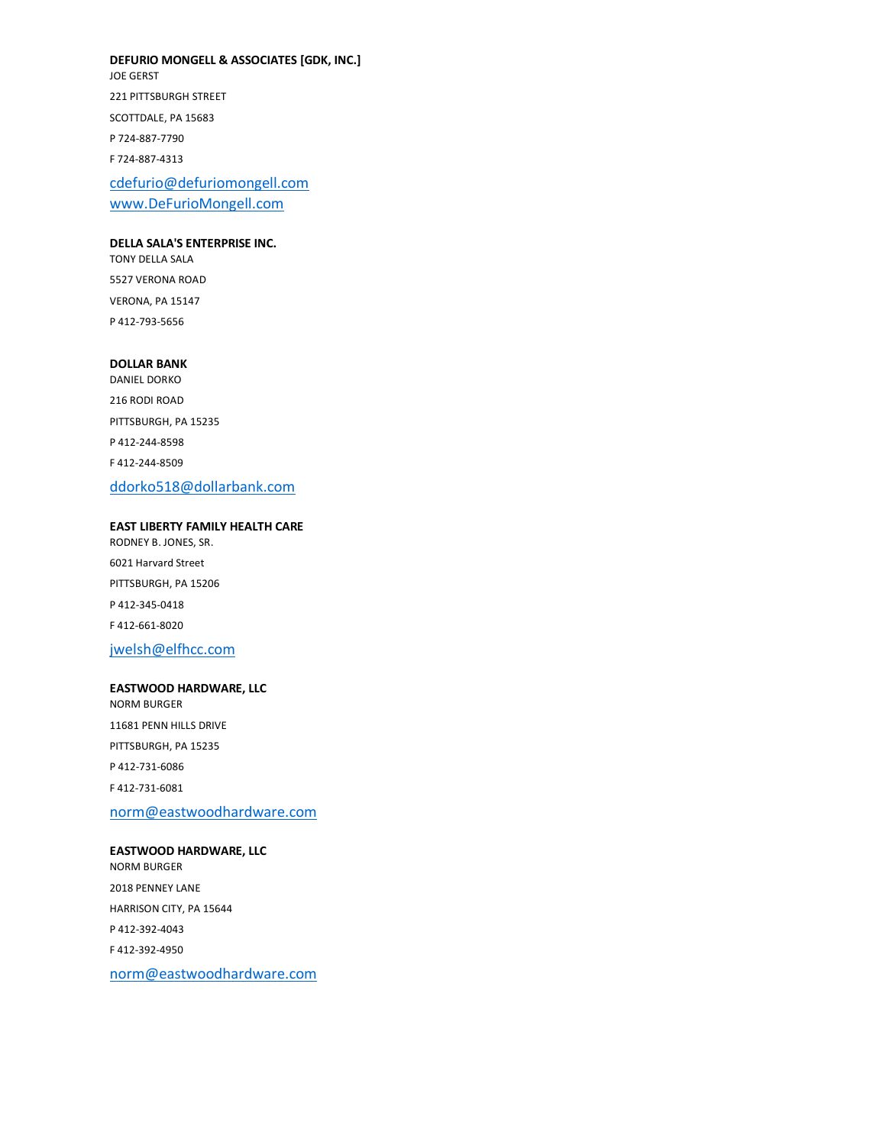**DEFURIO MONGELL & ASSOCIATES [GDK, INC.]**

JOE GERST 221 PITTSBURGH STREET SCOTTDALE, PA 15683 P 724-887-7790 F 724-887-4313

cdefurio@defuriomongell.com www.DeFurioMongell.com

#### **DELLA SALA'S ENTERPRISE INC.**

TONY DELLA SALA 5527 VERONA ROAD VERONA, PA 15147 P 412-793-5656

#### **DOLLAR BANK**

DANIEL DORKO 216 RODI ROAD PITTSBURGH, PA 15235 P 412-244-8598 F 412-244-8509 ddorko518@dollarbank.com

#### **EAST LIBERTY FAMILY HEALTH CARE**

RODNEY B. JONES, SR. 6021 Harvard Street PITTSBURGH, PA 15206 P 412-345-0418 F 412-661-8020

## jwelsh@elfhcc.com

#### **EASTWOOD HARDWARE, LLC**

NORM BURGER 11681 PENN HILLS DRIVE PITTSBURGH, PA 15235 P 412-731-6086 F 412-731-6081

norm@eastwoodhardware.com

## **EASTWOOD HARDWARE, LLC**

NORM BURGER 2018 PENNEY LANE HARRISON CITY, PA 15644 P 412-392-4043 F 412-392-4950 norm@eastwoodhardware.com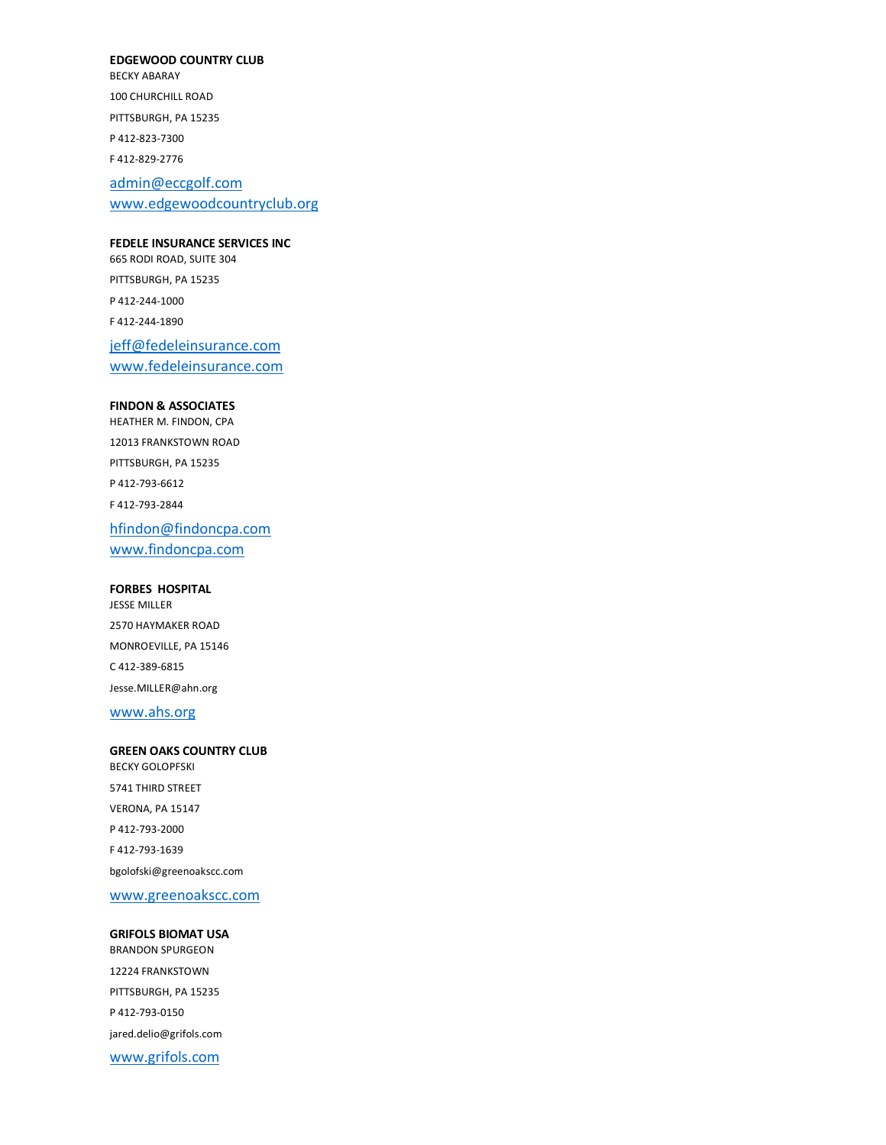#### **EDGEWOOD COUNTRY CLUB**

BECKY ABARAY 100 CHURCHILL ROAD PITTSBURGH, PA 15235 P 412-823-7300 F 412-829-2776

admin@eccgolf.com www.edgewoodcountryclub.org

#### **FEDELE INSURANCE SERVICES INC**

665 RODI ROAD, SUITE 304 PITTSBURGH, PA 15235 P 412-244-1000 F 412-244-1890 jeff@fedeleinsurance.com

www.fedeleinsurance.com

## **FINDON & ASSOCIATES**

HEATHER M. FINDON, CPA 12013 FRANKSTOWN ROAD PITTSBURGH, PA 15235 P 412-793-6612 F 412-793-2844 hfindon@findoncpa.com www.findoncpa.com

**FORBES HOSPITAL** JESSE MILLER 2570 HAYMAKER ROAD MONROEVILLE, PA 15146 C 412-389-6815 Jesse.MILLER@ahn.org

www.ahs.org

**GREEN OAKS COUNTRY CLUB** BECKY GOLOPFSKI 5741 THIRD STREET VERONA, PA 15147 P 412-793-2000 F 412-793-1639 bgolofski@greenoakscc.com

www.greenoakscc.com

**GRIFOLS BIOMAT USA** BRANDON SPURGEON 12224 FRANKSTOWN PITTSBURGH, PA 15235 P 412-793-0150 jared.delio@grifols.com www.grifols.com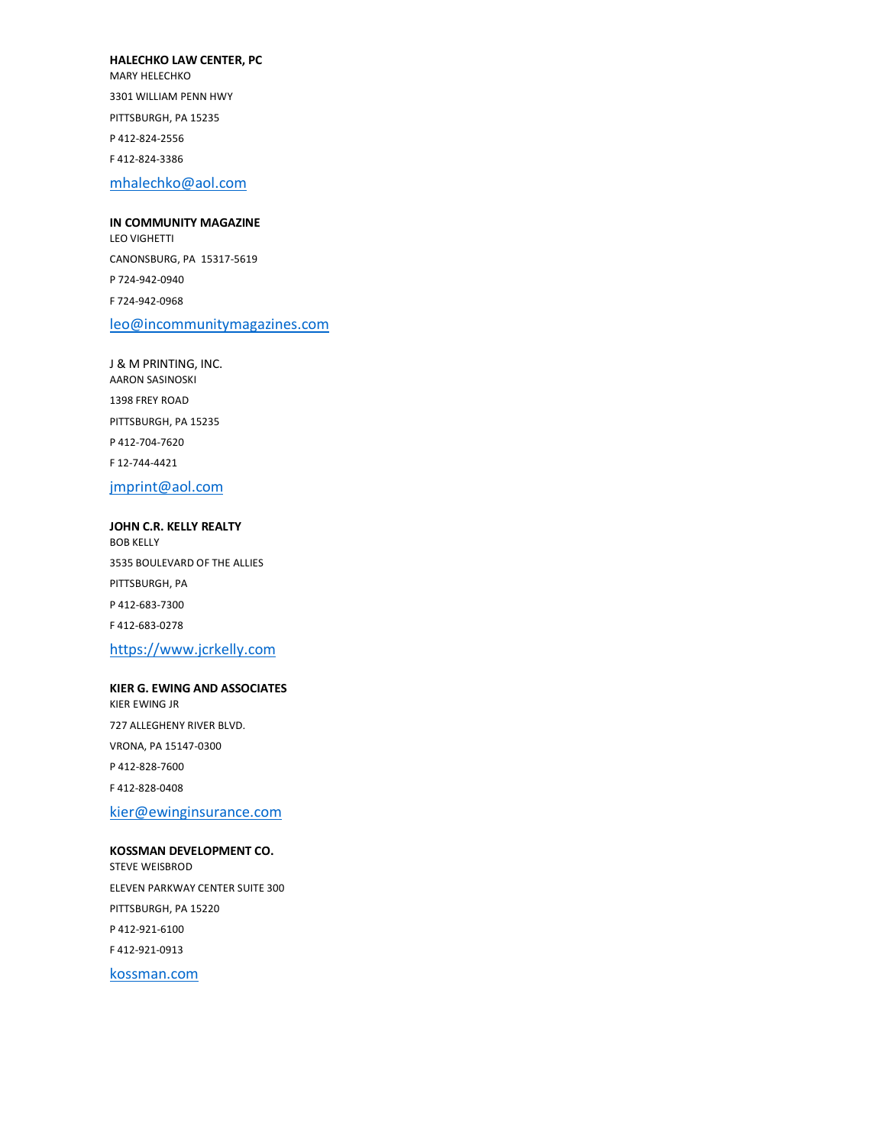#### **HALECHKO LAW CENTER, PC**

MARY HELECHKO 3301 WILLIAM PENN HWY PITTSBURGH, PA 15235 P 412-824-2556 F 412-824-3386 mhalechko@aol.com

**IN COMMUNITY MAGAZINE** LEO VIGHETTI CANONSBURG, PA 15317-5619 P 724-942-0940 F 724-942-0968 leo@incommunitymagazines.com

J & M PRINTING, INC. AARON SASINOSKI 1398 FREY ROAD PITTSBURGH, PA 15235 P 412-704-7620 F 12-744-4421 jmprint@aol.com

**JOHN C.R. KELLY REALTY** BOB KELLY 3535 BOULEVARD OF THE ALLIES PITTSBURGH, PA P 412-683-7300 F 412-683-0278 https://www.jcrkelly.com

#### **KIER G. EWING AND ASSOCIATES** KIER EWING JR

727 ALLEGHENY RIVER BLVD. VRONA, PA 15147-0300 P 412-828-7600 F 412-828-0408

kier@ewinginsurance.com

**KOSSMAN DEVELOPMENT CO.** STEVE WEISBROD ELEVEN PARKWAY CENTER SUITE 300 PITTSBURGH, PA 15220 P 412-921-6100 F 412-921-0913

kossman.com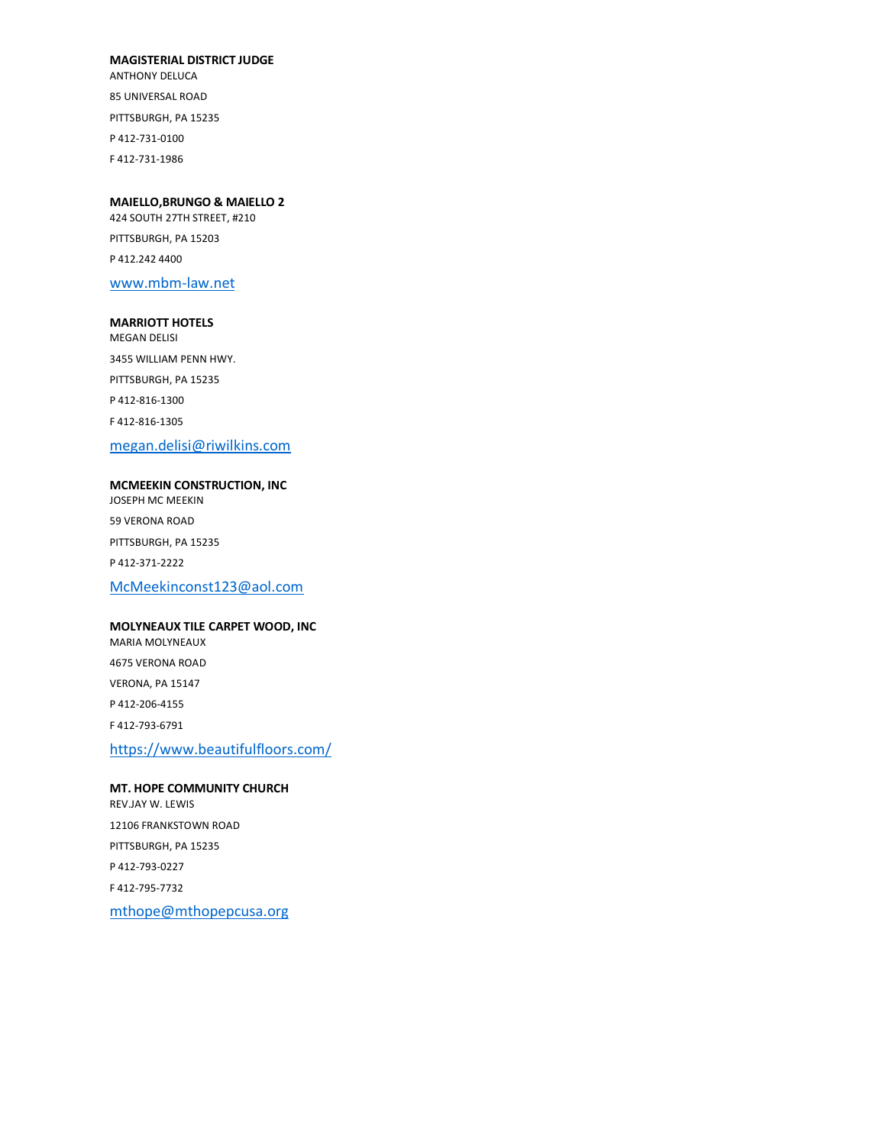#### **MAGISTERIAL DISTRICT JUDGE**

ANTHONY DELUCA 85 UNIVERSAL ROAD PITTSBURGH, PA 15235 P 412-731-0100 F 412-731-1986

#### **MAIELLO,BRUNGO & MAIELLO 2**

424 SOUTH 27TH STREET, #210 PITTSBURGH, PA 15203 P 412.242 4400 www.mbm-law.net

#### **MARRIOTT HOTELS**

MEGAN DELISI 3455 WILLIAM PENN HWY. PITTSBURGH, PA 15235 P 412-816-1300 F 412-816-1305 megan.delisi@riwilkins.com

#### **MCMEEKIN CONSTRUCTION, INC** JOSEPH MC MEEKIN

59 VERONA ROAD PITTSBURGH, PA 15235 P 412-371-2222 McMeekinconst123@aol.com

#### **MOLYNEAUX TILE CARPET WOOD, INC**

MARIA MOLYNEAUX 4675 VERONA ROAD VERONA, PA 15147 P 412-206-4155 F 412-793-6791 https://www.beautifulfloors.com/

## **MT. HOPE COMMUNITY CHURCH** REV.JAY W. LEWIS 12106 FRANKSTOWN ROAD PITTSBURGH, PA 15235 P 412-793-0227 F 412-795-7732 mthope@mthopepcusa.org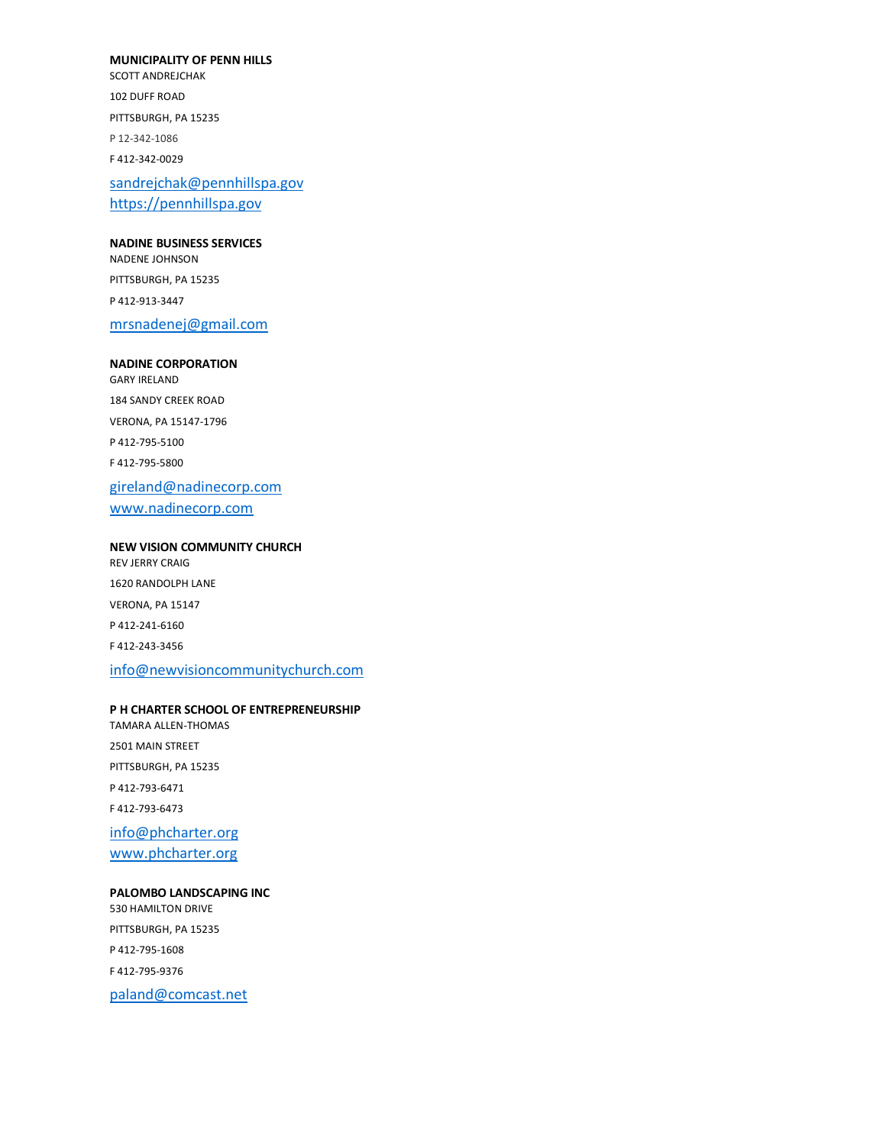#### **MUNICIPALITY OF PENN HILLS**

SCOTT ANDREJCHAK 102 DUFF ROAD PITTSBURGH, PA 15235 P 12-342-1086 F 412-342-0029

sandrejchak@pennhillspa.gov https://pennhillspa.gov

#### **NADINE BUSINESS SERVICES**

NADENE JOHNSON PITTSBURGH, PA 15235 P 412-913-3447

mrsnadenej@gmail.com

#### **NADINE CORPORATION**

GARY IRELAND 184 SANDY CREEK ROAD VERONA, PA 15147-1796 P 412-795-5100 F 412-795-5800 gireland@nadinecorp.com www.nadinecorp.com

#### **NEW VISION COMMUNITY CHURCH**

REV JERRY CRAIG 1620 RANDOLPH LANE VERONA, PA 15147 P 412-241-6160 F 412-243-3456

## info@newvisioncommunitychurch.com

#### **P H CHARTER SCHOOL OF ENTREPRENEURSHIP**

TAMARA ALLEN-THOMAS 2501 MAIN STREET PITTSBURGH, PA 15235 P 412-793-6471 F 412-793-6473 info@phcharter.org www.phcharter.org

#### **PALOMBO LANDSCAPING INC**

530 HAMILTON DRIVE PITTSBURGH, PA 15235 P 412-795-1608 F 412-795-9376 paland@comcast.net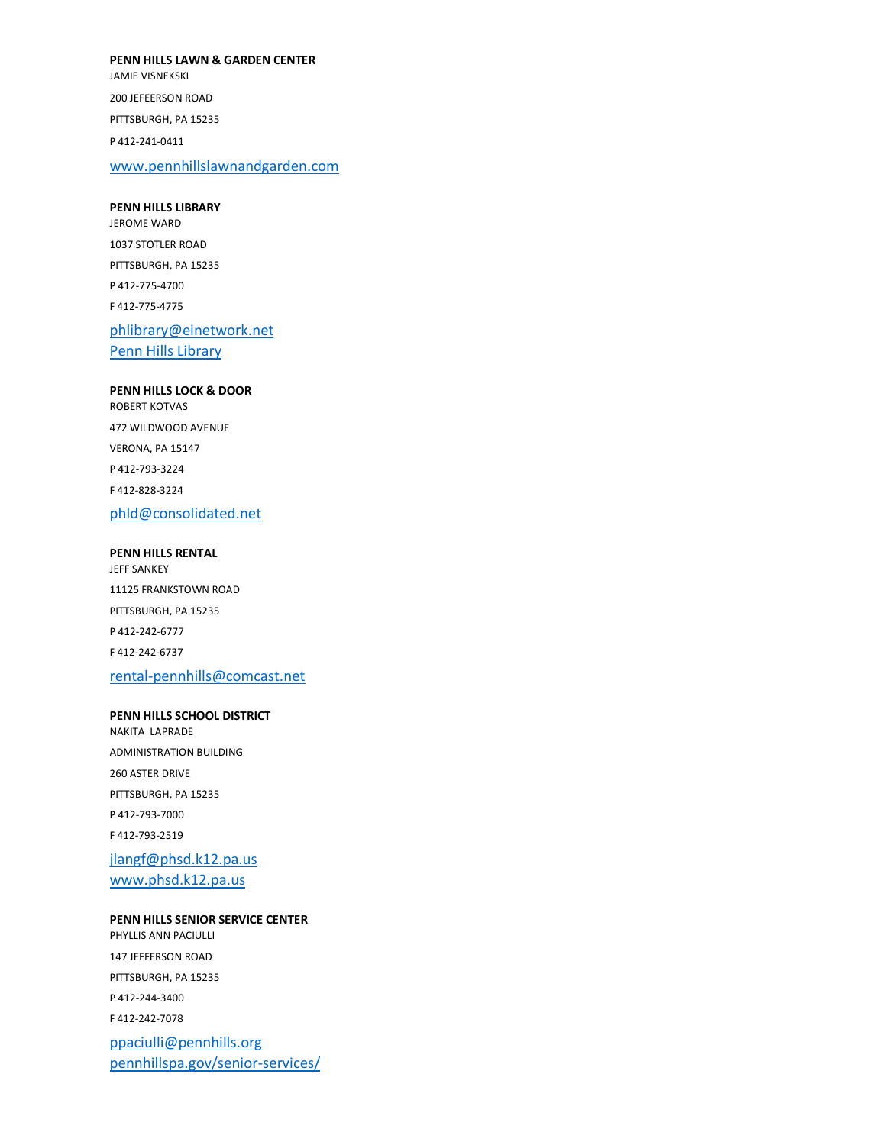**PENN HILLS LAWN & GARDEN CENTER** JAMIE VISNEKSKI 200 JEFEERSON ROAD PITTSBURGH, PA 15235 P 412-241-0411 www.pennhillslawnandgarden.com

**PENN HILLS LIBRARY** JEROME WARD 1037 STOTLER ROAD PITTSBURGH, PA 15235 P 412-775-4700 F 412-775-4775 phlibrary@einetwork.net

Penn Hills Library

**PENN HILLS LOCK & DOOR** ROBERT KOTVAS 472 WILDWOOD AVENUE VERONA, PA 15147 P 412-793-3224 F 412-828-3224 phld@consolidated.net

**PENN HILLS RENTAL** JEFF SANKEY 11125 FRANKSTOWN ROAD PITTSBURGH, PA 15235 P 412-242-6777 F 412-242-6737 rental-pennhills@comcast.net

#### **PENN HILLS SCHOOL DISTRICT**

NAKITA LAPRADE ADMINISTRATION BUILDING 260 ASTER DRIVE PITTSBURGH, PA 15235 P 412-793-7000 F 412-793-2519 jlangf@phsd.k12.pa.us

www.phsd.k12.pa.us

## **PENN HILLS SENIOR SERVICE CENTER**

PHYLLIS ANN PACIULLI 147 JEFFERSON ROAD PITTSBURGH, PA 15235 P 412-244-3400 F 412-242-7078 ppaciulli@pennhills.org pennhillspa.gov/senior-services/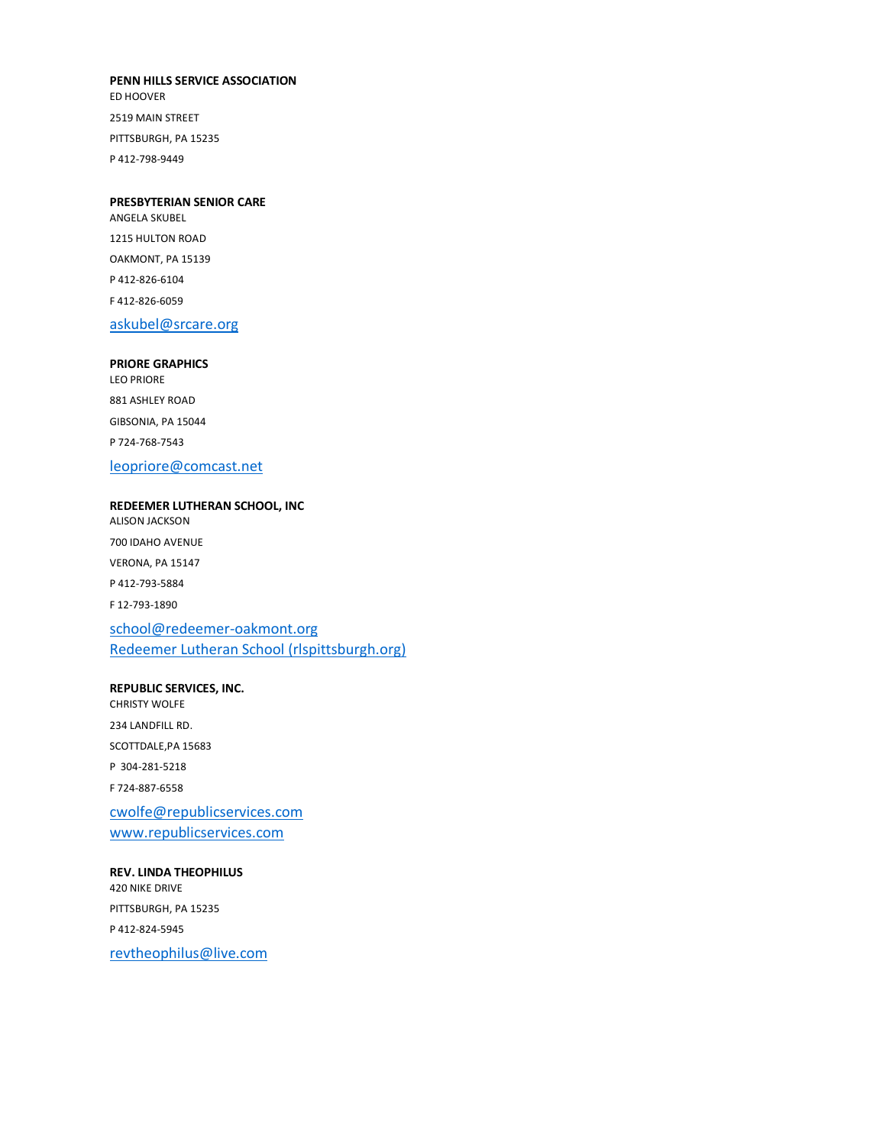#### **PENN HILLS SERVICE ASSOCIATION**

ED HOOVER 2519 MAIN STREET PITTSBURGH, PA 15235 P 412-798-9449

#### **PRESBYTERIAN SENIOR CARE**

ANGELA SKUBEL 1215 HULTON ROAD OAKMONT, PA 15139 P 412-826-6104 F 412-826-6059

## askubel@srcare.org

#### **PRIORE GRAPHICS**

LEO PRIORE 881 ASHLEY ROAD GIBSONIA, PA 15044 P 724-768-7543

## leopriore@comcast.net

#### **REDEEMER LUTHERAN SCHOOL, INC** ALISON JACKSON

700 IDAHO AVENUE VERONA, PA 15147 P 412-793-5884 F 12-793-1890 school@redeemer-oakmont.org

Redeemer Lutheran School (rlspittsburgh.org)

## **REPUBLIC SERVICES, INC.** CHRISTY WOLFE 234 LANDFILL RD. SCOTTDALE,PA 15683 P 304-281-5218 F 724-887-6558 cwolfe@republicservices.com www.republicservices.com

## **REV. LINDA THEOPHILUS** 420 NIKE DRIVE PITTSBURGH, PA 15235 P 412-824-5945 revtheophilus@live.com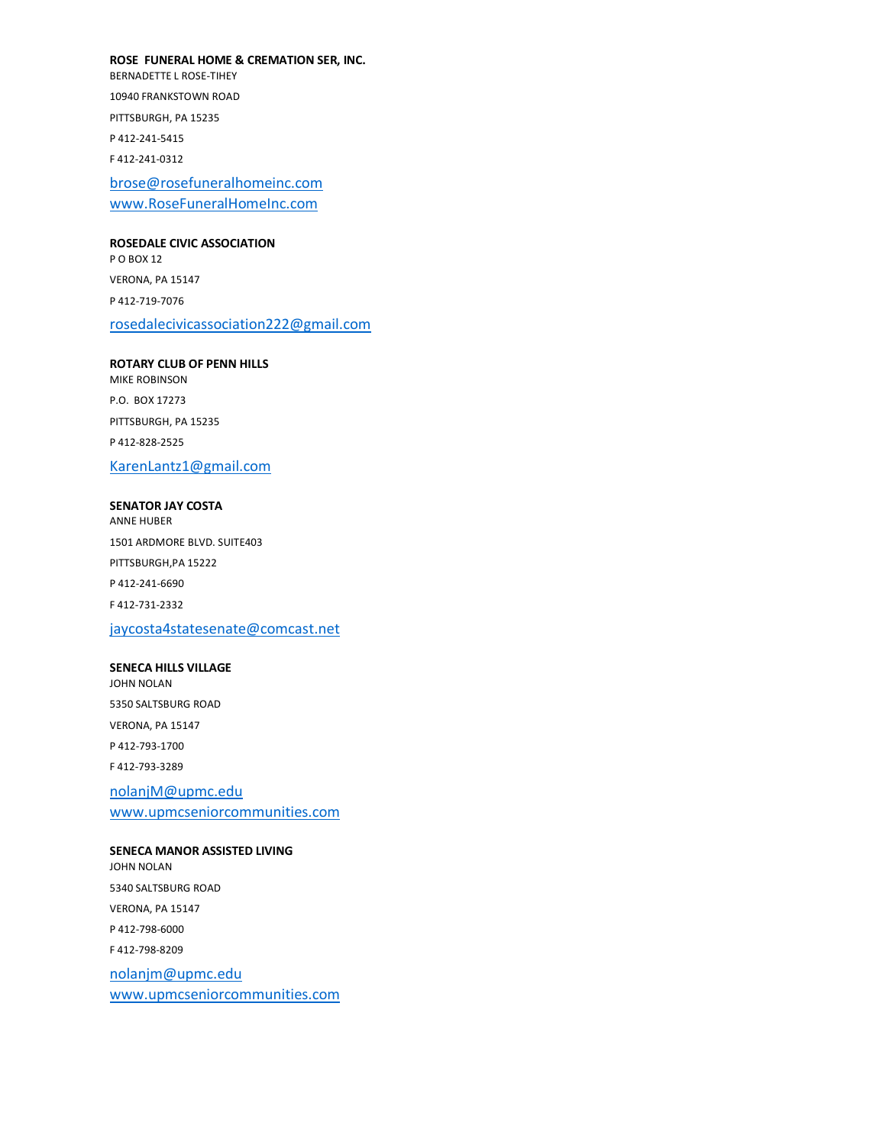**ROSE FUNERAL HOME & CREMATION SER, INC.**

BERNADETTE L ROSE-TIHEY 10940 FRANKSTOWN ROAD PITTSBURGH, PA 15235 P 412-241-5415 F 412-241-0312

brose@rosefuneralhomeinc.com www.RoseFuneralHomeInc.com

#### **ROSEDALE CIVIC ASSOCIATION**

P O BOX 12 VERONA, PA 15147 P 412-719-7076 rosedalecivicassociation222@gmail.com

**ROTARY CLUB OF PENN HILLS** MIKE ROBINSON P.O. BOX 17273 PITTSBURGH, PA 15235 P 412-828-2525 KarenLantz1@gmail.com

#### **SENATOR JAY COSTA** ANNE HUBER

1501 ARDMORE BLVD. SUITE403 PITTSBURGH,PA 15222 P 412-241-6690 F 412-731-2332 jaycosta4statesenate@comcast.net

#### **SENECA HILLS VILLAGE**

JOHN NOLAN 5350 SALTSBURG ROAD VERONA, PA 15147 P 412-793-1700 F 412-793-3289 nolanjM@upmc.edu www.upmcseniorcommunities.com

## **SENECA MANOR ASSISTED LIVING**

JOHN NOLAN 5340 SALTSBURG ROAD VERONA, PA 15147 P 412-798-6000 F 412-798-8209 nolanjm@upmc.edu www.upmcseniorcommunities.com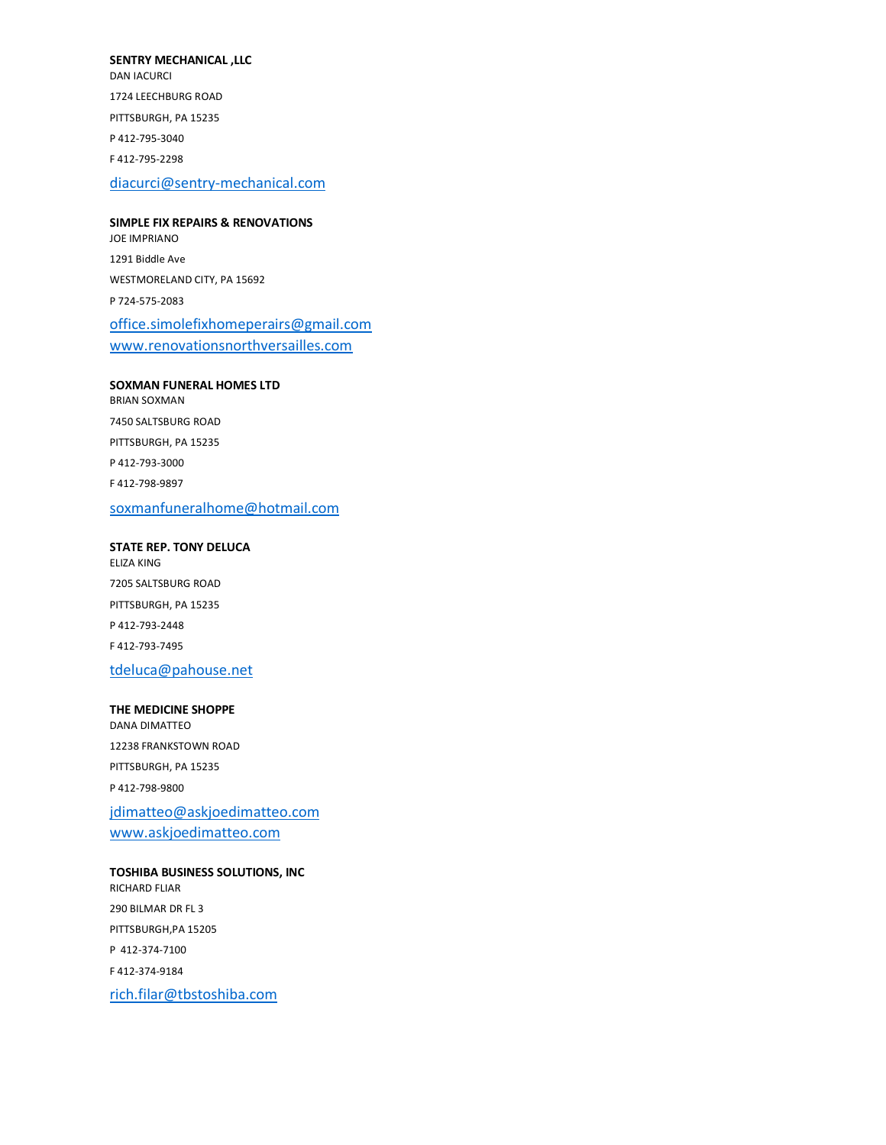#### **SENTRY MECHANICAL ,LLC**

DAN IACURCI 1724 LEECHBURG ROAD PITTSBURGH, PA 15235 P 412-795-3040 F 412-795-2298 diacurci@sentry-mechanical.com

## **SIMPLE FIX REPAIRS & RENOVATIONS** JOE IMPRIANO 1291 Biddle Ave WESTMORELAND CITY, PA 15692 P 724-575-2083 office.simolefixhomeperairs@gmail.com www.renovationsnorthversailles.com

#### **SOXMAN FUNERAL HOMES LTD**

BRIAN SOXMAN 7450 SALTSBURG ROAD PITTSBURGH, PA 15235 P 412-793-3000 F 412-798-9897 soxmanfuneralhome@hotmail.com

### **STATE REP. TONY DELUCA**

ELIZA KING 7205 SALTSBURG ROAD PITTSBURGH, PA 15235 P 412-793-2448 F 412-793-7495

## tdeluca@pahouse.net

#### **THE MEDICINE SHOPPE**

DANA DIMATTEO 12238 FRANKSTOWN ROAD PITTSBURGH, PA 15235 P 412-798-9800 jdimatteo@askjoedimatteo.com www.askjoedimatteo.com

## **TOSHIBA BUSINESS SOLUTIONS, INC** RICHARD FLIAR 290 BILMAR DR FL 3 PITTSBURGH,PA 15205 P 412-374-7100 F 412-374-9184 rich.filar@tbstoshiba.com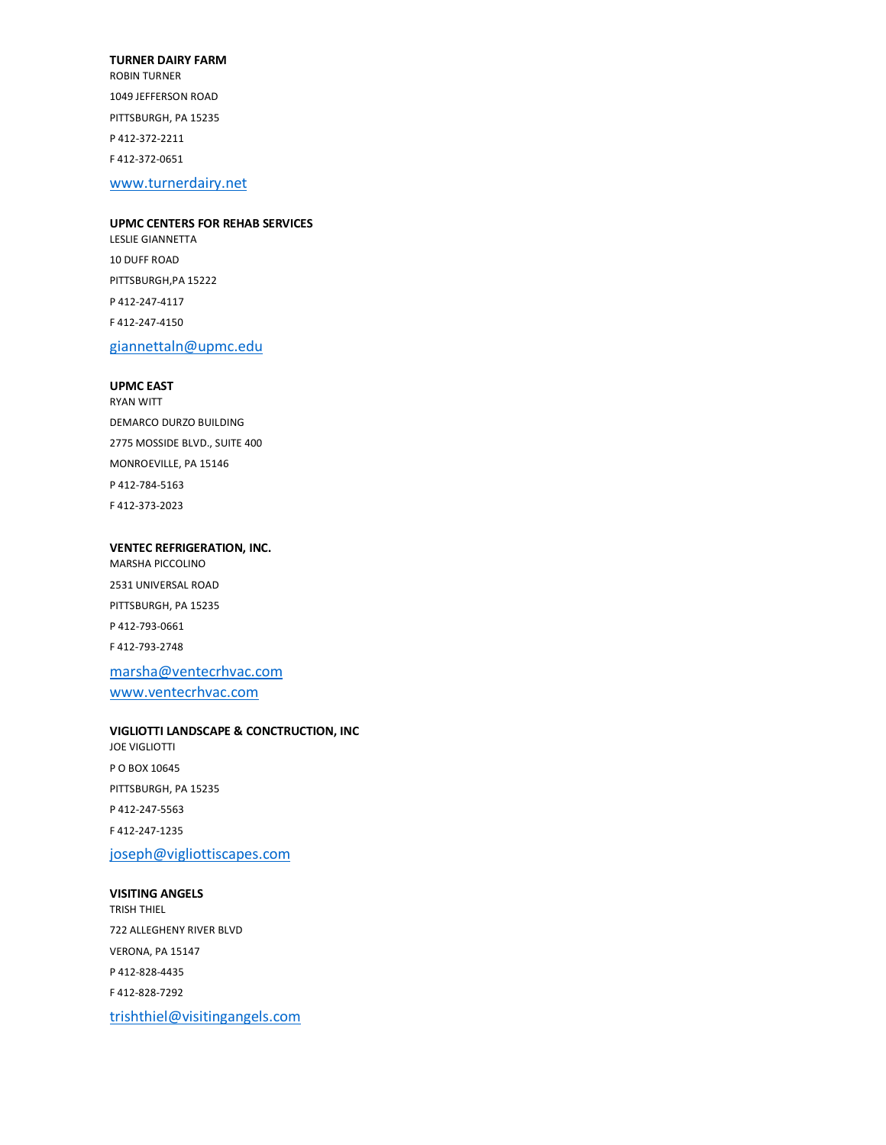#### **TURNER DAIRY FARM**

ROBIN TURNER 1049 JEFFERSON ROAD PITTSBURGH, PA 15235 P 412-372-2211 F 412-372-0651

www.turnerdairy.net

## **UPMC CENTERS FOR REHAB SERVICES** LESLIE GIANNETTA 10 DUFF ROAD PITTSBURGH,PA 15222

P 412-247-4117 F 412-247-4150

giannettaln@upmc.edu

#### **UPMC EAST**

RYAN WITT DEMARCO DURZO BUILDING 2775 MOSSIDE BLVD., SUITE 400 MONROEVILLE, PA 15146 P 412-784-5163 F 412-373-2023

## **VENTEC REFRIGERATION, INC.** MARSHA PICCOLINO 2531 UNIVERSAL ROAD

PITTSBURGH, PA 15235 P 412-793-0661 F 412-793-2748 marsha@ventecrhvac.com

www.ventecrhvac.com

#### **VIGLIOTTI LANDSCAPE & CONCTRUCTION, INC**

JOE VIGLIOTTI P O BOX 10645 PITTSBURGH, PA 15235 P 412-247-5563 F 412-247-1235 joseph@vigliottiscapes.com

#### **VISITING ANGELS**

TRISH THIEL 722 ALLEGHENY RIVER BLVD VERONA, PA 15147 P 412-828-4435 F 412-828-7292 trishthiel@visitingangels.com